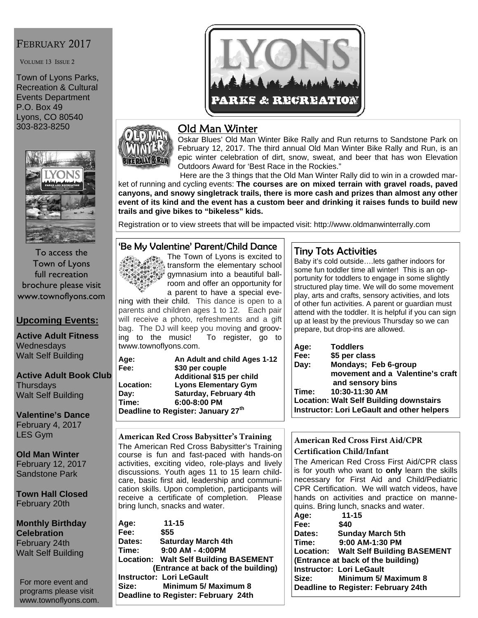#### FEBRUARY 2017

VOLUME 13 ISSUE 2

Town of Lyons Parks, Recreation & Cultural Events Department P.O. Box 49 Lyons, CO 80540 303-823-8250



To access the Town of Lyons full recreation brochure please visit www.townoflyons.com

#### **Upcoming Events:**

**Active Adult Fitness Wednesdays** Walt Self Building

**Active Adult Book Club Thursdays** Walt Self Building

**Valentine's Dance**  February 4, 2017 LES Gym

**Old Man Winter**  February 12, 2017 Sandstone Park

**Town Hall Closed**  February 20th

**Monthly Birthday Celebration**  February 24th Walt Self Building

For more event and programs please visit www.townoflyons.com.



## Old Man Winter

Oskar Blues' Old Man Winter Bike Rally and Run returns to Sandstone Park on February 12, 2017. The third annual Old Man Winter Bike Rally and Run, is an epic winter celebration of dirt, snow, sweat, and beer that has won Elevation Outdoors Award for 'Best Race in the Rockies."

 Here are the 3 things that the Old Man Winter Rally did to win in a crowded market of running and cycling events: **The courses are on mixed terrain with gravel roads, paved canyons, and snowy singletrack trails, there is more cash and prizes than almost any other event of its kind and the event has a custom beer and drinking it raises funds to build new trails and give bikes to "bikeless" kids.**

Registration or to view streets that will be impacted visit: http://www.oldmanwinterrally.com

#### 'Be My Valentine' Parent/Child Dance



a parent to have a special evening with their child. This dance is open to a parents and children ages 1 to 12. Each pair will receive a photo, refreshments and a gift bag. The DJ will keep you moving and groov-<br>ing to the music! To register, go to To register, go to twww.townoflyons.com.

**Age: An Adult and child Ages 1-12 Fee: \$30 per couple Additional \$15 per child Lyons Elementary Gym Day: Saturday, February 4th Time: 6:00-8:00 PM Deadline to Register: January 27th**

#### **American Red Cross Babysitter's Training**  The American Red Cross Babysitter's Training course is fun and fast-paced with hands-on activities, exciting video, role-plays and lively discussions. Youth ages 11 to 15 learn childcare, basic first aid, leadership and communication skills. Upon completion, participants will receive a certificate of completion. Please bring lunch, snacks and water.

| Age:                               | $11 - 15$                                    |  |
|------------------------------------|----------------------------------------------|--|
| Fee:                               | \$55                                         |  |
| Dates:                             | <b>Saturday March 4th</b>                    |  |
| Time:                              | $9:00$ AM - 4:00PM                           |  |
|                                    | <b>Location: Walt Self Building BASEMENT</b> |  |
| (Entrance at back of the building) |                                              |  |
| <b>Instructor: Lori LeGault</b>    |                                              |  |
| Size:                              | Minimum 5/ Maximum 8                         |  |
|                                    | Deadline to Register: February 24th          |  |

#### Tiny Tots Activities

Baby it's cold outside….lets gather indoors for some fun toddler time all winter! This is an opportunity for toddlers to engage in some slightly structured play time. We will do some movement play, arts and crafts, sensory activities, and lots of other fun activities. A parent or guardian must attend with the toddler. It is helpful if you can sign up at least by the previous Thursday so we can prepare, but drop-ins are allowed.

| Age:   | <b>Toddlers</b>                                |
|--------|------------------------------------------------|
| Fee:   | \$5 per class                                  |
| Day:   | Mondays; Feb 6-group                           |
|        | movement and a Valentine's craft               |
|        | and sensory bins                               |
| ∣Time: | 10:30-11:30 AM                                 |
|        | <b>Location: Walt Self Building downstairs</b> |
|        | Instructor: Lori LeGault and other helpers     |
|        |                                                |

#### **American Red Cross First Aid/CPR Certification Child/Infant**

The American Red Cross First Aid/CPR class is for youth who want to **only** learn the skills necessary for First Aid and Child/Pediatric CPR Certification. We will watch videos, have hands on activities and practice on mannequins. Bring lunch, snacks and water.

| Age:       | $11 - 15$                             |
|------------|---------------------------------------|
| Fee:       | \$40                                  |
| Dates:     | <b>Sunday March 5th</b>               |
| Time:      | 9:00 AM-1:30 PM                       |
|            | Location: Walt Self Building BASEMENT |
|            | (Entrance at back of the building)    |
|            | <b>Instructor: Lori LeGault</b>       |
| Size: www. | <b>Minimum 5/ Maximum 8</b>           |
|            | Deadline to Register: February 24th   |
|            |                                       |